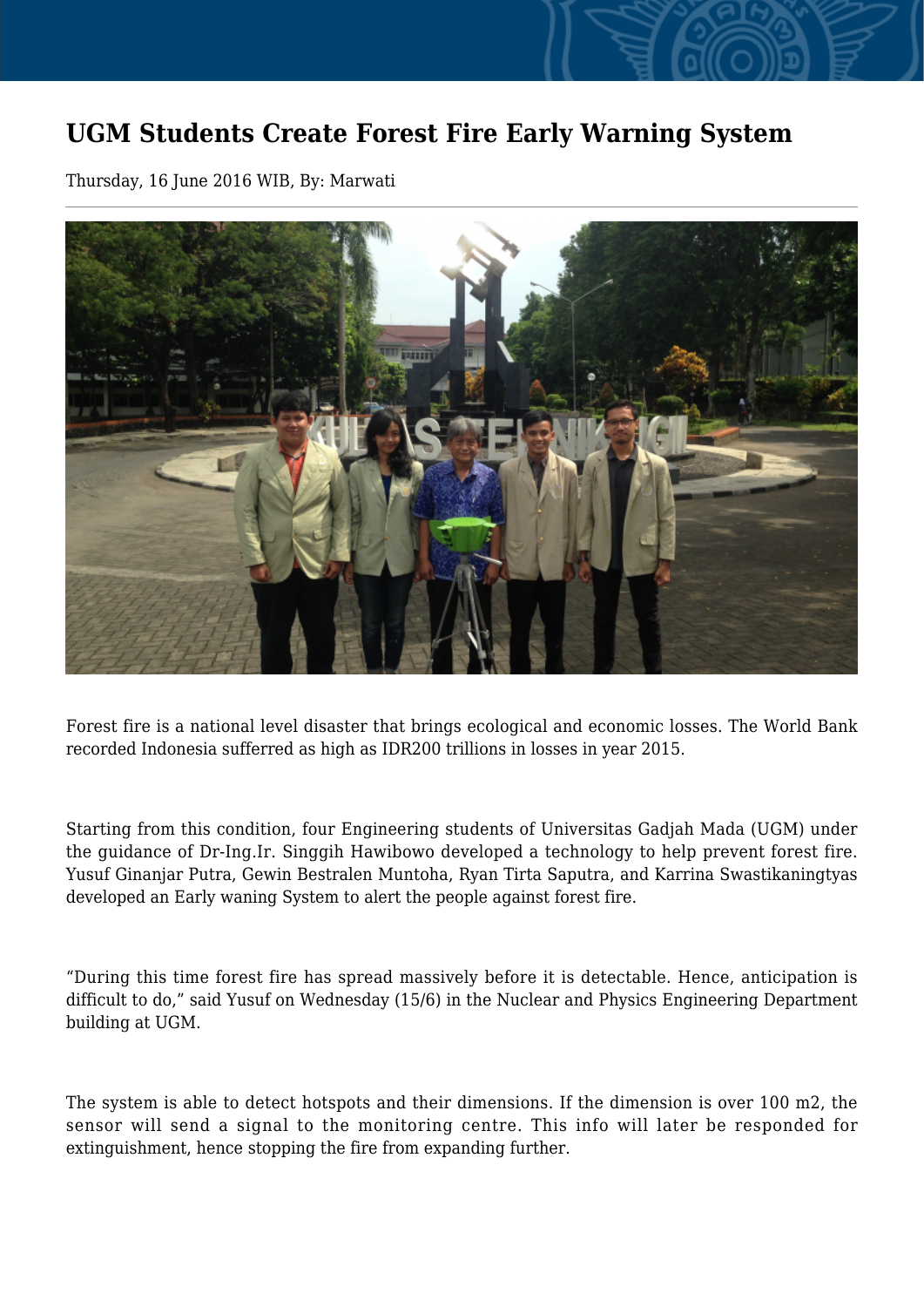## **UGM Students Create Forest Fire Early Warning System**

Thursday, 16 June 2016 WIB, By: Marwati



Forest fire is a national level disaster that brings ecological and economic losses. The World Bank recorded Indonesia sufferred as high as IDR200 trillions in losses in year 2015.

Starting from this condition, four Engineering students of Universitas Gadjah Mada (UGM) under the guidance of Dr-Ing.Ir. Singgih Hawibowo developed a technology to help prevent forest fire. Yusuf Ginanjar Putra, Gewin Bestralen Muntoha, Ryan Tirta Saputra, and Karrina Swastikaningtyas developed an Early waning System to alert the people against forest fire.

"During this time forest fire has spread massively before it is detectable. Hence, anticipation is difficult to do," said Yusuf on Wednesday (15/6) in the Nuclear and Physics Engineering Department building at UGM.

The system is able to detect hotspots and their dimensions. If the dimension is over 100 m2, the sensor will send a signal to the monitoring centre. This info will later be responded for extinguishment, hence stopping the fire from expanding further.